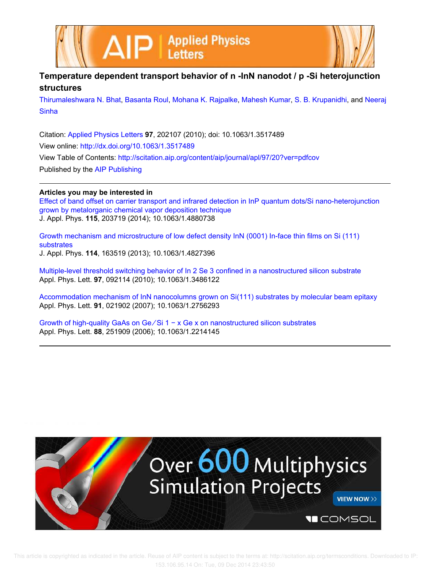



## **Temperature dependent transport behavior of n -InN nanodot / p -Si heterojunction structures**

Thirumaleshwara N. Bhat, Basanta Roul, Mohana K. Rajpalke, Mahesh Kumar, S. B. Krupanidhi, and Neeraj **Sinha** 

Citation: Applied Physics Letters **97**, 202107 (2010); doi: 10.1063/1.3517489 View online: http://dx.doi.org/10.1063/1.3517489 View Table of Contents: http://scitation.aip.org/content/aip/journal/apl/97/20?ver=pdfcov Published by the AIP Publishing

## **Articles you may be interested in**

Effect of band offset on carrier transport and infrared detection in InP quantum dots/Si nano-heterojunction grown by metalorganic chemical vapor deposition technique J. Appl. Phys. **115**, 203719 (2014); 10.1063/1.4880738

Growth mechanism and microstructure of low defect density InN (0001) In-face thin films on Si (111) substrates J. Appl. Phys. **114**, 163519 (2013); 10.1063/1.4827396

Multiple-level threshold switching behavior of In 2 Se 3 confined in a nanostructured silicon substrate Appl. Phys. Lett. **97**, 092114 (2010); 10.1063/1.3486122

Accommodation mechanism of InN nanocolumns grown on Si(111) substrates by molecular beam epitaxy Appl. Phys. Lett. **91**, 021902 (2007); 10.1063/1.2756293

Growth of high-quality GaAs on Ge ∕ Si 1 − x Ge x on nanostructured silicon substrates Appl. Phys. Lett. **88**, 251909 (2006); 10.1063/1.2214145

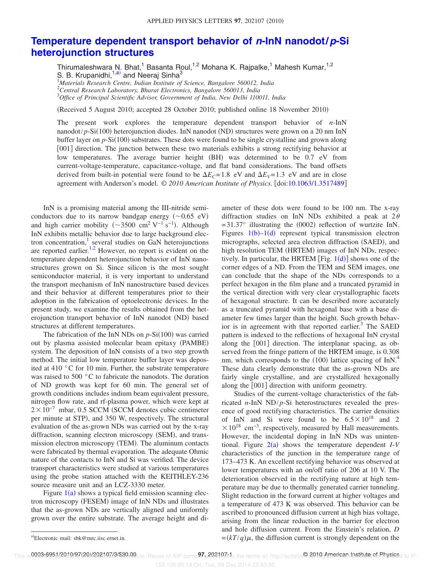## **Temperature dependent transport behavior of <sup>n</sup>-InN nanodot/p-Si heterojunction structures**

Thirumaleshwara N. Bhat,<sup>1</sup> Basanta Roul,<sup>1,2</sup> Mohana K. Rajpalke,<sup>1</sup> Mahesh Kumar,<sup>1,2</sup> S. B. Krupanidhi,<sup>1,a)</sup> and Neeraj Sinha<sup>3</sup>

<sup>1</sup>*Materials Research Centre, Indian Institute of Science, Bangalore 560012, India* <sup>2</sup>*Central Research Laboratory, Bharat Electronics, Bangalore 560013, India* <sup>3</sup>*Office of Principal Scientific Advisor, Government of India, New Delhi 110011, India*

(Received 5 August 2010; accepted 28 October 2010; published online 18 November 2010)

The present work explores the temperature dependent transport behavior of *n*-InN nanodot/p-Si(100) heterojunction diodes. InN nanodot (ND) structures were grown on a 20 nm InN buffer layer on p-Si(100) substrates. These dots were found to be single crystalline and grown along [001] direction. The junction between these two materials exhibits a strong rectifying behavior at low temperatures. The average barrier height (BH) was determined to be 0.7 eV from current-voltage-temperature, capacitance-voltage, and flat band considerations. The band offsets derived from built-in potential were found to be  $\Delta E_C = 1.8$  eV and  $\Delta E_V = 1.3$  eV and are in close agreement with Anderson's model. © *2010 American Institute of Physics*. doi:10.1063/1.3517489

InN is a promising material among the III-nitride semiconductors due to its narrow bandgap energy  $(\sim 0.65 \text{ eV})$ and high carrier mobility ( $\sim$ 3500 cm<sup>2</sup> V<sup>-1</sup> s<sup>-1</sup>). Although InN exhibits metallic behavior due to large background electron concentration,<sup>1</sup> several studies on GaN heterojunctions are reported earlier. $1,2$  However, no report is evident on the temperature dependent heterojunction behavior of InN nanostructures grown on Si. Since silicon is the most sought semiconductor material, it is very important to understand the transport mechanism of InN nanostructure based devices and their behavior at different temperatures prior to their adoption in the fabrication of optoelectronic devices. In the present study, we examine the results obtained from the heterojunction transport behavior of InN nanodot (ND) based structures at different temperatures.

The fabrication of the InN NDs on  $p-Si(100)$  was carried out by plasma assisted molecular beam epitaxy (PAMBE) system. The deposition of InN consists of a two step growth method. The initial low temperature buffer layer was deposited at 410 °C for 10 min. Further, the substrate temperature was raised to 500 °C to fabricate the nanodots. The duration of ND growth was kept for 60 min. The general set of growth conditions includes indium beam equivalent pressure, nitrogen flow rate, and rf-plasma power, which were kept at  $2 \times 10^{-7}$  mbar, 0.5 SCCM (SCCM denotes cubic centimeter per minute at STP, and 350 W, respectively. The structural evaluation of the as-grown NDs was carried out by the x-ray diffraction, scanning electron microscopy (SEM), and transmission electron microscopy (TEM). The aluminum contacts were fabricated by thermal evaporation. The adequate Ohmic nature of the contacts to InN and Si was verified. The device transport characteristics were studied at various temperatures using the probe station attached with the KEITHLEY-236 source measure unit and an LCZ-3330 meter.

Figure  $1(a)$  shows a typical field emission scanning electron microscopy (FESEM) image of InN NDs and illustrates that the as-grown NDs are vertically aligned and uniformly grown over the entire substrate. The average height and diameter of these dots were found to be 100 nm. The x-ray diffraction studies on InN NDs exhibited a peak at  $2\theta$  $=$  31.37 $\degree$  illustrating the (0002) reflection of wurtzite InN. Figures  $1(b)-1(d)$  represent typical transmission electron micrographs, selected area electron diffraction (SAED), and high resolution TEM (HRTEM) images of InN NDs, respectively. In particular, the HRTEM  $[Fig. 1(d)]$  shows one of the corner edges of a ND. From the TEM and SEM images, one can conclude that the shape of the NDs corresponds to a perfect hexagon in the film plane and a truncated pyramid in the vertical direction with very clear crystallographic facets of hexagonal structure. It can be described more accurately as a truncated pyramid with hexagonal base with a base diameter few times larger than the height. Such growth behavior is in agreement with that reported earlier.<sup>3</sup> The SAED pattern is indexed to the reflections of hexagonal InN crystal along the [001] direction. The interplanar spacing, as observed from the fringe pattern of the HRTEM image, is 0.308 nm, which corresponds to the (100) lattice spacing of InN.<sup>4</sup> These data clearly demonstrate that the as-grown NDs are fairly single crystalline, and are crystallized hexagonally along the  $[001]$  direction with uniform geometry.

Studies of the current-voltage characteristics of the fabricated  $n$ -InN ND/ $p$ -Si heterostructures revealed the presence of good rectifying characteristics. The carrier densities of InN and Si were found to be  $6.5 \times 10^{18}$  and 2  $\times 10^{18}$  cm<sup>-3</sup>, respectively, measured by Hall measurements. However, the incidental doping in InN NDs was unintentional. Figure  $2(a)$  shows the temperature dependent  $I-V$ characteristics of the junction in the temperature range of 173–473 K. An excellent rectifying behavior was observed at lower temperatures with an on/off ratio of 206 at 10 V. The deterioration observed in the rectifying nature at high temperature may be due to thermally generated carrier tunneling. Slight reduction in the forward current at higher voltages and a temperature of 473 K was observed. This behavior can be ascribed to pronounced diffusion current at high bias voltage, arising from the linear reduction in the barrier for electron and hole diffusion current. From the Einstein's relation, *D* <sup>a)</sup>Electronic mail: sbk@mrc.iisc.ernet.in.  $=(kT/q)\mu$ , the diffusion current is strongly dependent on the

This ar**0003-6951/2010/97(20)/202107/3/\$30.00**cle. Reuse of AIP conte**97.**c202107t1o the terms at: http://scitatio@2010-American-Instituteret. Physics<sub>d to IP:</sub>

153.106.95.14 On: Tue, 09 Dec 2014 23:43:50

a)Electronic mail: sbk@mrc.iisc.ernet.in.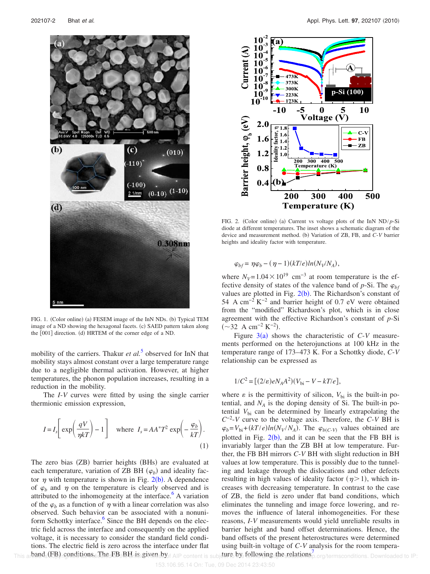

FIG. 1. (Color online) (a) FESEM image of the InN NDs. (b) Typical TEM image of a ND showing the hexagonal facets. (c) SAED pattern taken along the [001] direction. (d) HRTEM of the corner edge of a ND.

mobility of the carriers. Thakur *et al.*<sup>5</sup> observed for InN that mobility stays almost constant over a large temperature range due to a negligible thermal activation. However, at higher temperatures, the phonon population increases, resulting in a reduction in the mobility.

The *I*-*V* curves were fitted by using the single carrier thermionic emission expression,

$$
I = I_s \left[ \exp\left(\frac{qV}{\eta kT}\right) - 1 \right] \quad \text{where} \quad I_s = AA^*T^2 \exp\left(-\frac{\varphi_b}{kT}\right). \tag{1}
$$

The zero bias (ZB) barrier heights (BHs) are evaluated at each temperature, variation of ZB BH  $(\varphi_b)$  and ideality factor  $\eta$  with temperature is shown in Fig. 2(b). A dependence of  $\varphi_h$  and  $\eta$  on the temperature is clearly observed and is attributed to the inhomogeneity at the interface. $\Delta$  A variation of the  $\varphi_h$  as a function of  $\eta$  with a linear correlation was also observed. Such behavior can be associated with a nonuniform Schottky interface.<sup>6</sup> Since the BH depends on the electric field across the interface and consequently on the applied voltage, it is necessary to consider the standard field conditions. The electric field is zero across the interface under flat band -FB conditions. The FB BH is given by This arbands (FB) reonditions in The FBI BH is given sext AIP content is subject by following the relations<sup>7</sup> erg/termsconditions. Downloaded to IP:



FIG. 2. (Color online) (a) Current vs voltage plots of the InN ND/p-Si diode at different temperatures. The inset shows a schematic diagram of the device and measurement method. (b) Variation of ZB, FB, and C-V barrier heights and ideality factor with temperature.

$$
\varphi_{bf} = \eta \varphi_b - (\eta - 1)(kT/e)ln(N_V/N_A),
$$

where  $N_V$ =1.04 × 10<sup>19</sup> cm<sup>-3</sup> at room temperature is the effective density of states of the valence band of  $p-Si$ . The  $\varphi_{hf}$ values are plotted in Fig.  $2(b)$ . The Richardson's constant of 54 A cm<sup>-2</sup> K<sup>-2</sup> and barrier height of 0.7 eV were obtained from the "modified" Richardson's plot, which is in close agreement with the effective Richardson's constant of *p*-Si  $({\sim}32 \text{ A cm}^{-2} \text{ K}^{-2}).$ 

Figure  $3(a)$  shows the characteristic of  $C-V$  measurements performed on the heterojunctions at 100 kHz in the temperature range of 173–473 K. For a Schottky diode, *C*-*V* relationship can be expressed as

$$
1/C^{2} = [(2/\varepsilon)eN_{A}A^{2})(V_{bi} - V - kT/e],
$$

where  $\varepsilon$  is the permittivity of silicon,  $V_{\text{bi}}$  is the built-in potential, and  $N_A$  is the doping density of Si. The built-in potential  $V_{bi}$  can be determined by linearly extrapolating the *C* −2 -*V* curve to the voltage axis. Therefore, the *C*-*V* BH is  $\varphi_b = V_{bi} + (kT/e)ln(N_V/N_A)$ . The  $\varphi_{b(C-V)}$  values obtained are plotted in Fig.  $2(b)$ , and it can be seen that the FB BH is invariably larger than the ZB BH at low temperature. Further, the FB BH mirrors *C*-*V* BH with slight reduction in BH values at low temperature. This is possibly due to the tunneling and leakage through the dislocations and other defects resulting in high values of ideality factor  $(\eta > 1)$ , which increases with decreasing temperature. In contrast to the case of ZB, the field is zero under flat band conditions, which eliminates the tunneling and image force lowering, and removes the influence of lateral inhomogeneities. For these reasons, *I*-*V* measurements would yield unreliable results in barrier height and band offset determinations. Hence, the band offsets of the present heterostructures were determined using built-in voltage of *C*-*V* analysis for the room tempera-